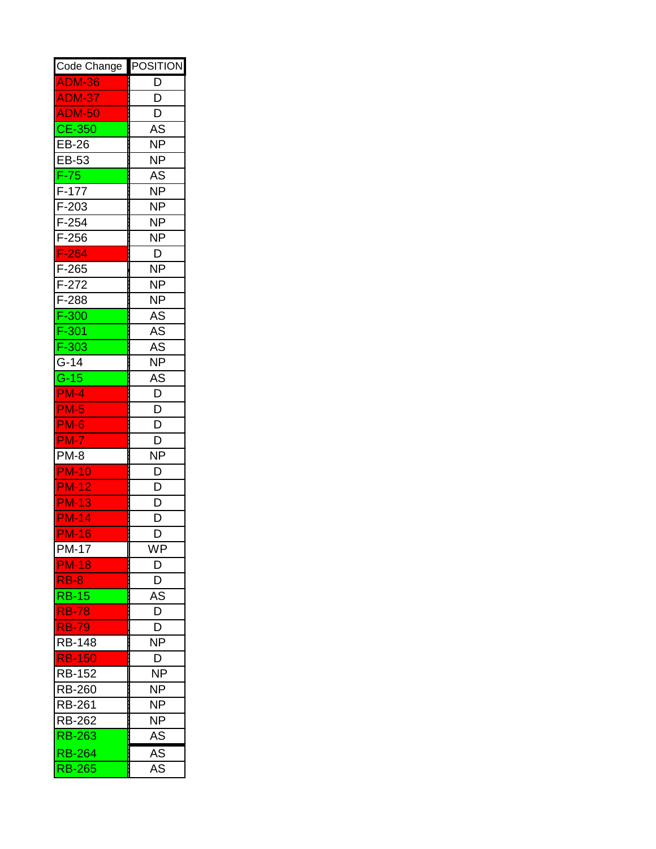| Code Change                 | <b>POSITION</b> |
|-----------------------------|-----------------|
| <b>ADM-36</b>               | D               |
| ADM-37                      | D               |
| <b>ADM-50</b>               | D               |
| $\overline{\text{CE}}$ -350 | AS              |
| EB-26                       | NΡ              |
| EB-53                       | NΡ              |
| $\overline{F}$ -75          | AS              |
| $F-177$                     | NΡ              |
| F-203                       | NΡ              |
| F-254                       | NΡ              |
| $F-256$                     | NΡ              |
| $F-264$                     | D               |
| F-265                       | NΡ              |
| F-272                       | ΝP              |
| F-288                       | NΡ              |
| F-300                       | AS              |
| F-301                       | AS              |
| $F-303$                     | AS              |
| G-14                        | <b>NP</b>       |
| $G-15$                      | AS              |
| <b>PM-4</b>                 | D               |
| <b>PM-5</b>                 | D               |
| <b>PM-6</b>                 | D               |
| <b>PM-7</b>                 | D               |
| <b>PM-8</b>                 | <b>NP</b>       |
| <b>PM-10</b>                | D               |
| <b>PM-12</b>                | D               |
| <b>PM-13</b>                | D               |
| <b>PM-14</b>                | D               |
| <b>PM-16</b>                | D               |
| PM-17                       | WP              |
| <b>PM-18</b>                | D               |
| $RB-8$                      | D               |
| <b>RB-15</b>                | AS              |
| <b>RB-78</b>                | D               |
| <b>RB-79</b>                | D               |
| <b>RB-148</b>               | <b>NP</b>       |
| <b>RB-150</b>               | D               |
| <b>RB-152</b>               | <b>NP</b>       |
| <b>RB-260</b>               | NΡ              |
| <b>RB-261</b>               | NΡ              |
| <b>RB-262</b>               | NΡ              |
| <b>RB-263</b>               | AS              |
| <b>RB-264</b>               | $A\overline{S}$ |
| <b>RB-265</b>               | AS              |